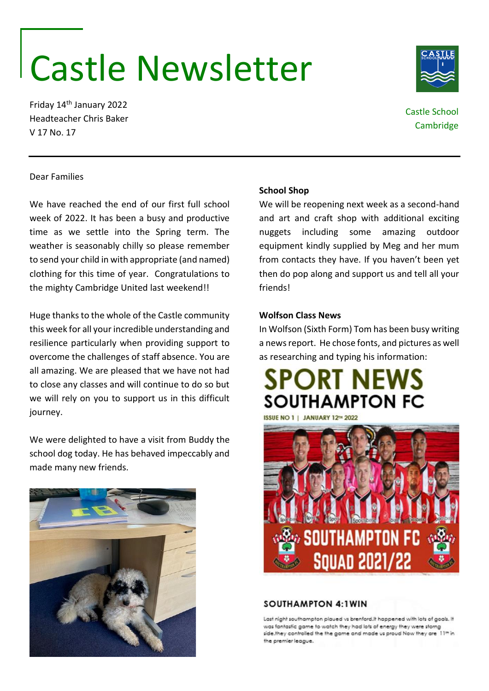# Castle Newsletter

Friday 14th January 2022 Headteacher Chris Baker V 17 No. 17

# Castle School **Cambridge**

# Dear Families

We have reached the end of our first full school week of 2022. It has been a busy and productive time as we settle into the Spring term. The weather is seasonably chilly so please remember to send your child in with appropriate (and named) clothing for this time of year. Congratulations to the mighty Cambridge United last weekend!!

Huge thanks to the whole of the Castle community this week for all your incredible understanding and resilience particularly when providing support to overcome the challenges of staff absence. You are all amazing. We are pleased that we have not had to close any classes and will continue to do so but we will rely on you to support us in this difficult journey.

We were delighted to have a visit from Buddy the school dog today. He has behaved impeccably and made many new friends.



#### **School Shop**

We will be reopening next week as a second-hand and art and craft shop with additional exciting nuggets including some amazing outdoor equipment kindly supplied by Meg and her mum from contacts they have. If you haven't been yet then do pop along and support us and tell all your friends!

#### **Wolfson Class News**

In Wolfson (Sixth Form) Tom has been busy writing a news report. He chose fonts, and pictures as well as researching and typing his information:





#### **SOUTHAMPTON 4:1WIN**

Last night southampton plaued vs brenford.It happened with lots of goals. It was fantastic game to watch they had lots of energy they were storng side.they controlled the the game and made us proud Now they are 11th in the oremier league.